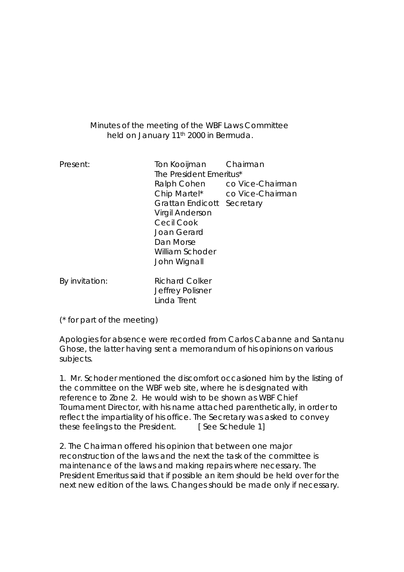## Minutes of the meeting of the WBF Laws Committee held on January 11th 2000 in Bermuda.

| Present:       | Ton Kooijman Chairman<br>The President Emeritus*<br>Ralph Cohen<br>Chip Martel*<br><b>Grattan Endicott</b><br>Virgil Anderson<br>Cecil Cook<br>Joan Gerard<br>Dan Morse<br>William Schoder<br>John Wignall | co Vice-Chairman<br>co Vice-Chairman<br>Secretary |
|----------------|------------------------------------------------------------------------------------------------------------------------------------------------------------------------------------------------------------|---------------------------------------------------|
| By invitation: | <b>Richard Colker</b><br>Jeffrey Polisner<br>Linda Trent                                                                                                                                                   |                                                   |

(\* for part of the meeting)

Apologies for absence were recorded from Carlos Cabanne and Santanu Ghose, the latter having sent a memorandum of his opinions on various subjects.

1. Mr. Schoder mentioned the discomfort occasioned him by the listing of the committee on the WBF web site, where he is designated with reference to Zone 2. He would wish to be shown as WBF Chief Tournament Director, with his name attached parenthetically, in order to reflect the impartiality of his office. The Secretary was asked to convey these feelings to the President. [See Schedule 1]

2. The Chairman offered his opinion that between one major reconstruction of the laws and the next the task of the committee is maintenance of the laws and making repairs where necessary. The President Emeritus said that if possible an item should be held over for the next new edition of the laws. Changes should be made only if necessary.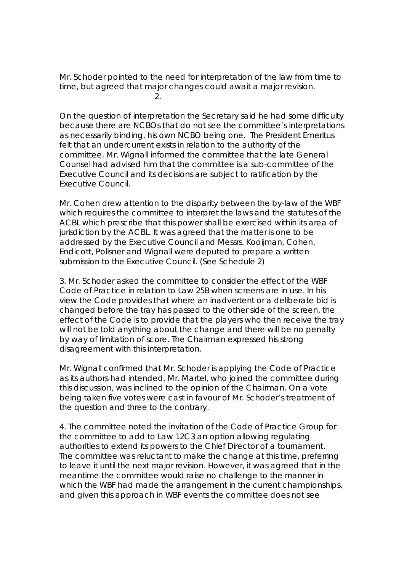Mr. Schoder pointed to the need for interpretation of the law from time to time, but agreed that major changes could await a major revision. **2. 2. 2.** 

On the question of interpretation the Secretary said he had some difficulty because there are NCBOs that do not see the committee's interpretations as necessarily binding, his own NCBO being one. The President Emeritus felt that an undercurrent exists in relation to the authority of the committee. Mr. Wignall informed the committee that the late General Counsel had advised him that the committee is a sub-committee of the Executive Council and its decisions are subject to ratification by the Executive Council.

Mr. Cohen drew attention to the disparity between the by-law of the WBF which requires the committee to interpret the laws and the statutes of the ACBL which prescribe that this power shall be exercised within its area of jurisdiction by the ACBL. It was agreed that the matter is one to be addressed by the Executive Council and Messrs. Kooijman, Cohen, Endicott, Polisner and Wignall were deputed to prepare a written submission to the Executive Council. (See Schedule 2)

3. Mr. Schoder asked the committee to consider the effect of the WBF Code of Practice in relation to Law 25B when screens are in use. In his view the Code provides that where an inadvertent or a deliberate bid is changed before the tray has passed to the other side of the screen, the effect of the Code is to provide that the players who then receive the tray will not be told anything about the change and there will be no penalty by way of limitation of score. The Chairman expressed his strong disagreement with this interpretation.

Mr. Wignall confirmed that Mr. Schoder is applying the Code of Practice as its authors had intended. Mr. Martel, who joined the committee during this discussion, was inclined to the opinion of the Chairman. On a vote being taken five votes were cast in favour of Mr. Schoder's treatment of the question and three to the contrary.

4. The committee noted the invitation of the Code of Practice Group for the committee to add to Law 12C3 an option allowing regulating authorities to extend its powers to the Chief Director of a tournament. The committee was reluctant to make the change at this time, preferring to leave it until the next major revision. However, it was agreed that in the meantime the committee would raise no challenge to the manner in which the WBF had made the arrangement in the current championships, and given this approach in WBF events the committee does not see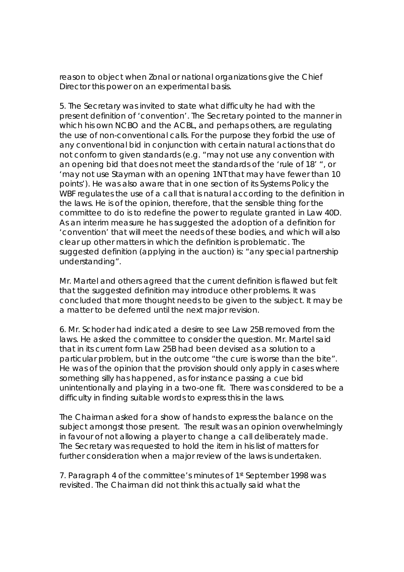reason to object when Zonal or national organizations give the Chief Director this power on an experimental basis.

5. The Secretary was invited to state what difficulty he had with the present definition of 'convention'. The Secretary pointed to the manner in which his own NCBO and the ACBL, and perhaps others, are regulating the use of non-conventional calls. For the purpose they forbid the use of any conventional bid in conjunction with certain natural actions that do not conform to given standards (e.g. "may not use any convention with an opening bid that does not meet the standards of the 'rule of 18' ", or 'may not use Stayman with an opening 1NT that may have fewer than 10 points'). He was also aware that in one section of its Systems Policy the WBF regulates the use of a call that is natural according to the definition in the laws. He is of the opinion, therefore, that the sensible thing for the committee to do is to redefine the power to regulate granted in Law 40D. As an interim measure he has suggested the adoption of a definition for 'convention' that will meet the needs of these bodies, and which will also clear up other matters in which the definition is problematic. The suggested definition (applying in the auction) is: "any special partnership understanding".

Mr. Martel and others agreed that the current definition is flawed but felt that the suggested definition may introduce other problems. It was concluded that more thought needs to be given to the subject. It may be a matter to be deferred until the next major revision.

6. Mr. Schoder had indicated a desire to see Law 25B removed from the laws. He asked the committee to consider the question. Mr. Martel said that in its current form Law 25B had been devised as a solution to a particular problem, but in the outcome "the cure is worse than the bite". He was of the opinion that the provision should only apply in cases where something silly has happened, as for instance passing a cue bid unintentionally and playing in a two-one fit. There was considered to be a difficulty in finding suitable words to express this in the laws.

The Chairman asked for a show of hands to express the balance on the subject amongst those present. The result was an opinion overwhelmingly in favour of not allowing a player to change a call deliberately made. The Secretary was requested to hold the item in his list of matters for further consideration when a major review of the laws is undertaken.

7. Paragraph 4 of the committee's minutes of 1st September 1998 was revisited. The Chairman did not think this actually said what the